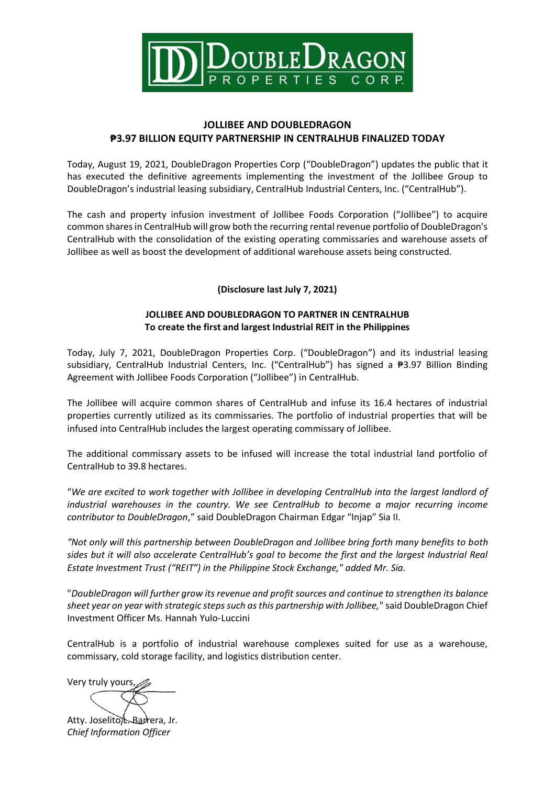

## **JOLLIBEE AND DOUBLEDRAGON ₱3.97 BILLION EQUITY PARTNERSHIP IN CENTRALHUB FINALIZED TODAY**

Today, August 19, 2021, DoubleDragon Properties Corp ("DoubleDragon") updates the public that it has executed the definitive agreements implementing the investment of the Jollibee Group to DoubleDragon's industrial leasing subsidiary, CentralHub Industrial Centers, Inc. ("CentralHub").

The cash and property infusion investment of Jollibee Foods Corporation ("Jollibee") to acquire common shares in CentralHub will grow both the recurring rental revenue portfolio of DoubleDragon's CentralHub with the consolidation of the existing operating commissaries and warehouse assets of Jollibee as well as boost the development of additional warehouse assets being constructed.

## **(Disclosure last July 7, 2021)**

## **JOLLIBEE AND DOUBLEDRAGON TO PARTNER IN CENTRALHUB To create the first and largest Industrial REIT in the Philippines**

Today, July 7, 2021, DoubleDragon Properties Corp. ("DoubleDragon") and its industrial leasing subsidiary, CentralHub Industrial Centers, Inc. ("CentralHub") has signed a ₱3.97 Billion Binding Agreement with Jollibee Foods Corporation ("Jollibee") in CentralHub.

The Jollibee will acquire common shares of CentralHub and infuse its 16.4 hectares of industrial properties currently utilized as its commissaries. The portfolio of industrial properties that will be infused into CentralHub includes the largest operating commissary of Jollibee.

The additional commissary assets to be infused will increase the total industrial land portfolio of CentralHub to 39.8 hectares.

"*We are excited to work together with Jollibee in developing CentralHub into the largest landlord of industrial warehouses in the country. We see CentralHub to become a major recurring income contributor to DoubleDragon*," said DoubleDragon Chairman Edgar "Injap" Sia II.

*"Not only will this partnership between DoubleDragon and Jollibee bring forth many benefits to both sides but it will also accelerate CentralHub's goal to become the first and the largest Industrial Real Estate Investment Trust ("REIT") in the Philippine Stock Exchange," added Mr. Sia.* 

"*DoubleDragon will further grow its revenue and profit sources and continue to strengthen its balance sheet year on year with strategic steps such as this partnership with Jollibee,*" said DoubleDragon Chief Investment Officer Ms. Hannah Yulo-Luccini

CentralHub is a portfolio of industrial warehouse complexes suited for use as a warehouse, commissary, cold storage facility, and logistics distribution center.

Very truly yours,

Atty. Joselito L. Barrera, Jr. *Chief Information Officer*